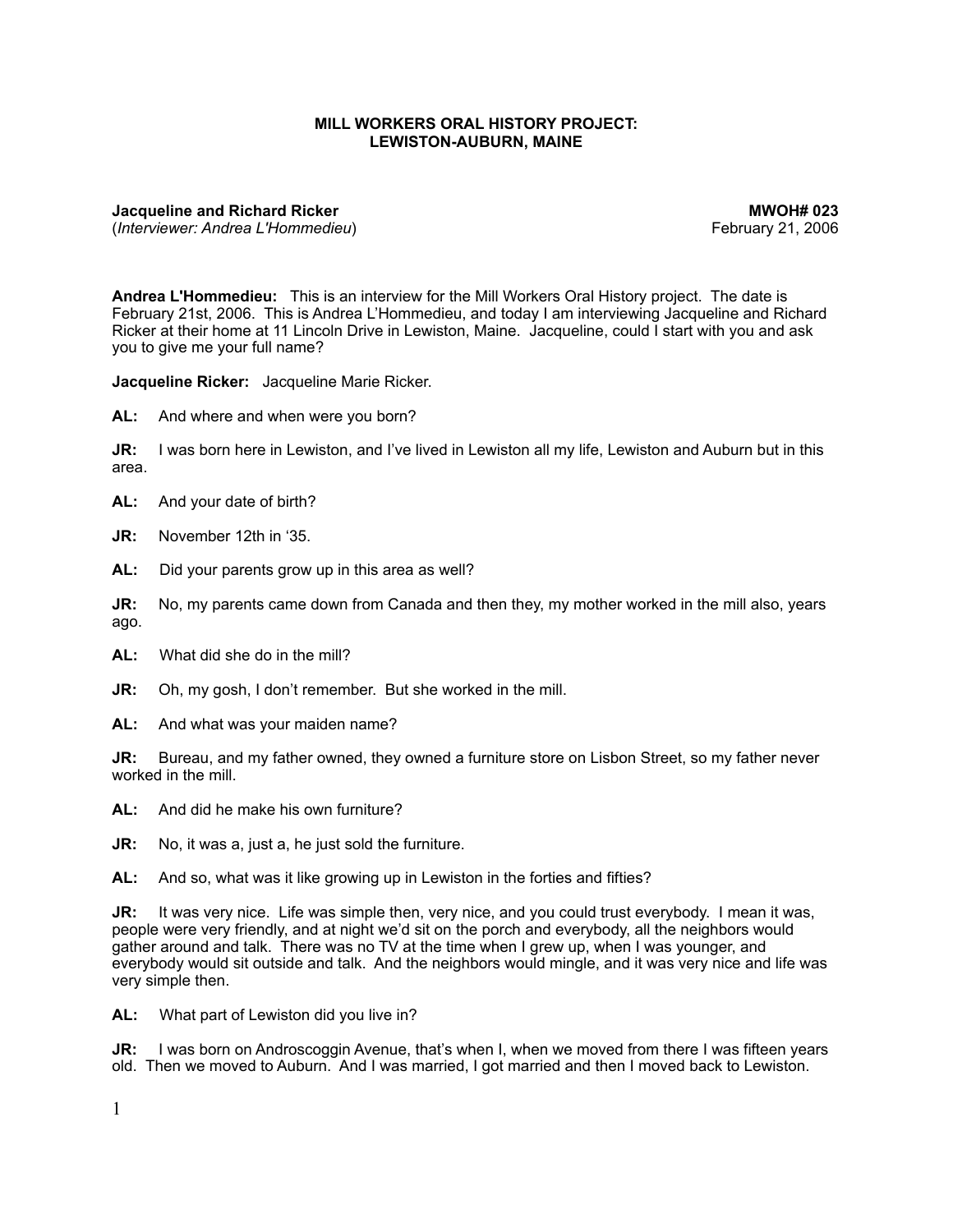## **MILL WORKERS ORAL HISTORY PROJECT: LEWISTON-AUBURN, MAINE**

**Jacqueline and Richard Ricker MWOH# 023** (*Interviewer: Andrea L'Hommedieu*) February 21, 2006

**Andrea L'Hommedieu:** This is an interview for the Mill Workers Oral History project. The date is February 21st, 2006. This is Andrea L'Hommedieu, and today I am interviewing Jacqueline and Richard Ricker at their home at 11 Lincoln Drive in Lewiston, Maine. Jacqueline, could I start with you and ask you to give me your full name?

**Jacqueline Ricker:** Jacqueline Marie Ricker.

**AL:** And where and when were you born?

**JR:** I was born here in Lewiston, and I've lived in Lewiston all my life, Lewiston and Auburn but in this area.

**AL:** And your date of birth?

**JR:** November 12th in '35.

**AL:** Did your parents grow up in this area as well?

**JR:** No, my parents came down from Canada and then they, my mother worked in the mill also, years ago.

**AL:** What did she do in the mill?

**JR:** Oh, my gosh, I don't remember. But she worked in the mill.

**AL:** And what was your maiden name?

**JR:** Bureau, and my father owned, they owned a furniture store on Lisbon Street, so my father never worked in the mill.

**AL:** And did he make his own furniture?

**JR:** No, it was a, just a, he just sold the furniture.

**AL:** And so, what was it like growing up in Lewiston in the forties and fifties?

**JR:** It was very nice. Life was simple then, very nice, and you could trust everybody. I mean it was, people were very friendly, and at night we'd sit on the porch and everybody, all the neighbors would gather around and talk. There was no TV at the time when I grew up, when I was younger, and everybody would sit outside and talk. And the neighbors would mingle, and it was very nice and life was very simple then.

**AL:** What part of Lewiston did you live in?

**JR:** I was born on Androscoggin Avenue, that's when I, when we moved from there I was fifteen years old. Then we moved to Auburn. And I was married, I got married and then I moved back to Lewiston.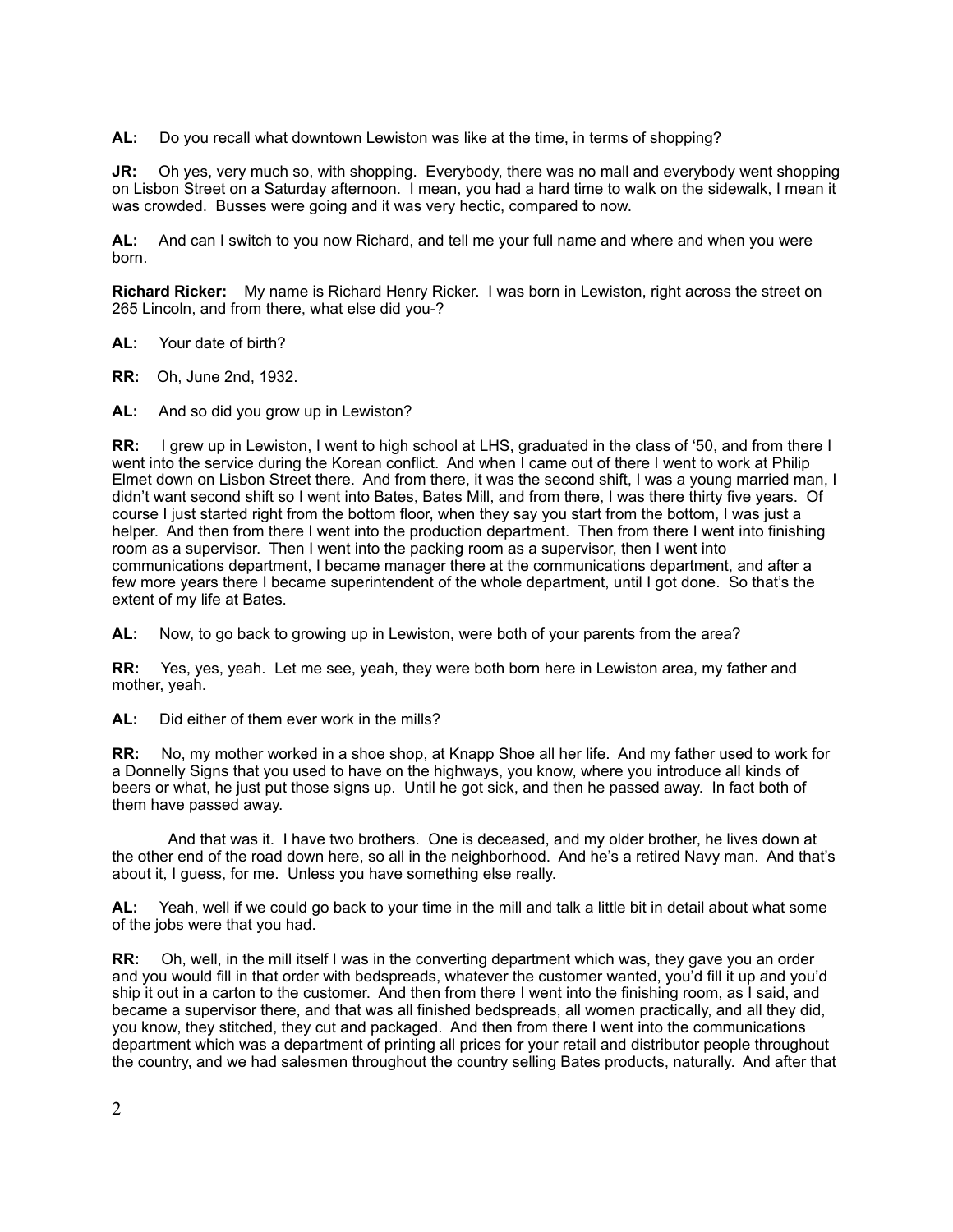**AL:** Do you recall what downtown Lewiston was like at the time, in terms of shopping?

**JR:** Oh yes, very much so, with shopping. Everybody, there was no mall and everybody went shopping on Lisbon Street on a Saturday afternoon. I mean, you had a hard time to walk on the sidewalk, I mean it was crowded. Busses were going and it was very hectic, compared to now.

**AL:** And can I switch to you now Richard, and tell me your full name and where and when you were born.

**Richard Ricker:** My name is Richard Henry Ricker. I was born in Lewiston, right across the street on 265 Lincoln, and from there, what else did you-?

**AL:** Your date of birth?

**RR:** Oh, June 2nd, 1932.

**AL:** And so did you grow up in Lewiston?

**RR:** I grew up in Lewiston, I went to high school at LHS, graduated in the class of '50, and from there I went into the service during the Korean conflict. And when I came out of there I went to work at Philip Elmet down on Lisbon Street there. And from there, it was the second shift, I was a young married man, I didn't want second shift so I went into Bates, Bates Mill, and from there, I was there thirty five years. Of course I just started right from the bottom floor, when they say you start from the bottom, I was just a helper. And then from there I went into the production department. Then from there I went into finishing room as a supervisor. Then I went into the packing room as a supervisor, then I went into communications department, I became manager there at the communications department, and after a few more years there I became superintendent of the whole department, until I got done. So that's the extent of my life at Bates.

**AL:** Now, to go back to growing up in Lewiston, were both of your parents from the area?

**RR:** Yes, yes, yeah. Let me see, yeah, they were both born here in Lewiston area, my father and mother, yeah.

**AL:** Did either of them ever work in the mills?

**RR:** No, my mother worked in a shoe shop, at Knapp Shoe all her life. And my father used to work for a Donnelly Signs that you used to have on the highways, you know, where you introduce all kinds of beers or what, he just put those signs up. Until he got sick, and then he passed away. In fact both of them have passed away.

 And that was it. I have two brothers. One is deceased, and my older brother, he lives down at the other end of the road down here, so all in the neighborhood. And he's a retired Navy man. And that's about it, I guess, for me. Unless you have something else really.

**AL:** Yeah, well if we could go back to your time in the mill and talk a little bit in detail about what some of the jobs were that you had.

**RR:** Oh, well, in the mill itself I was in the converting department which was, they gave you an order and you would fill in that order with bedspreads, whatever the customer wanted, you'd fill it up and you'd ship it out in a carton to the customer. And then from there I went into the finishing room, as I said, and became a supervisor there, and that was all finished bedspreads, all women practically, and all they did, you know, they stitched, they cut and packaged. And then from there I went into the communications department which was a department of printing all prices for your retail and distributor people throughout the country, and we had salesmen throughout the country selling Bates products, naturally. And after that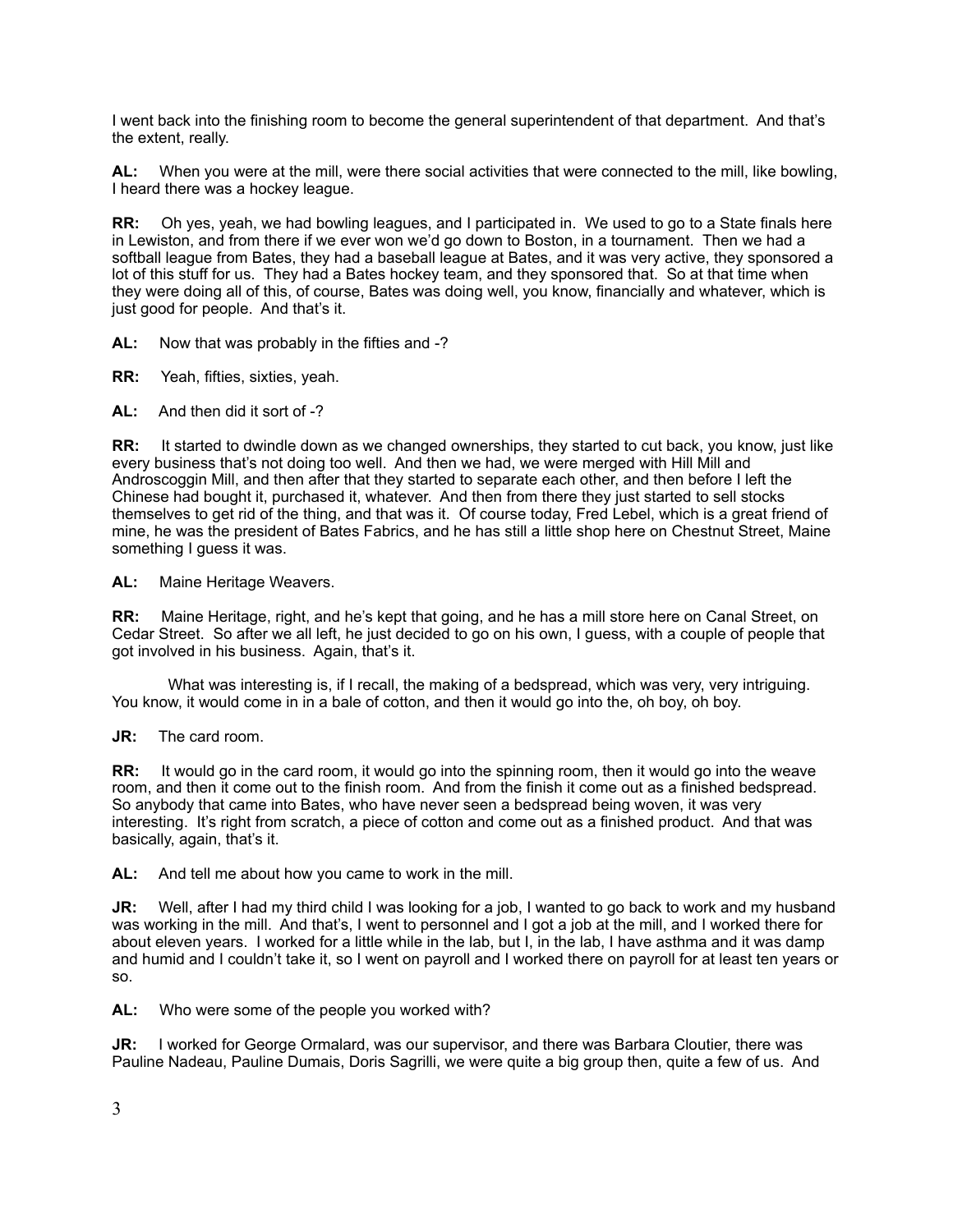I went back into the finishing room to become the general superintendent of that department. And that's the extent, really.

**AL:** When you were at the mill, were there social activities that were connected to the mill, like bowling, I heard there was a hockey league.

**RR:** Oh yes, yeah, we had bowling leagues, and I participated in. We used to go to a State finals here in Lewiston, and from there if we ever won we'd go down to Boston, in a tournament. Then we had a softball league from Bates, they had a baseball league at Bates, and it was very active, they sponsored a lot of this stuff for us. They had a Bates hockey team, and they sponsored that. So at that time when they were doing all of this, of course, Bates was doing well, you know, financially and whatever, which is just good for people. And that's it.

**AL:** Now that was probably in the fifties and -?

**RR:** Yeah, fifties, sixties, yeah.

**AL:** And then did it sort of -?

**RR:** It started to dwindle down as we changed ownerships, they started to cut back, you know, just like every business that's not doing too well. And then we had, we were merged with Hill Mill and Androscoggin Mill, and then after that they started to separate each other, and then before I left the Chinese had bought it, purchased it, whatever. And then from there they just started to sell stocks themselves to get rid of the thing, and that was it. Of course today, Fred Lebel, which is a great friend of mine, he was the president of Bates Fabrics, and he has still a little shop here on Chestnut Street, Maine something I guess it was.

**AL:** Maine Heritage Weavers.

**RR:** Maine Heritage, right, and he's kept that going, and he has a mill store here on Canal Street, on Cedar Street. So after we all left, he just decided to go on his own, I guess, with a couple of people that got involved in his business. Again, that's it.

 What was interesting is, if I recall, the making of a bedspread, which was very, very intriguing. You know, it would come in in a bale of cotton, and then it would go into the, oh boy, oh boy.

**JR:** The card room.

**RR:** It would go in the card room, it would go into the spinning room, then it would go into the weave room, and then it come out to the finish room. And from the finish it come out as a finished bedspread. So anybody that came into Bates, who have never seen a bedspread being woven, it was very interesting. It's right from scratch, a piece of cotton and come out as a finished product. And that was basically, again, that's it.

**AL:** And tell me about how you came to work in the mill.

**JR:** Well, after I had my third child I was looking for a job, I wanted to go back to work and my husband was working in the mill. And that's, I went to personnel and I got a job at the mill, and I worked there for about eleven years. I worked for a little while in the lab, but I, in the lab, I have asthma and it was damp and humid and I couldn't take it, so I went on payroll and I worked there on payroll for at least ten years or so.

**AL:** Who were some of the people you worked with?

**JR:** I worked for George Ormalard, was our supervisor, and there was Barbara Cloutier, there was Pauline Nadeau, Pauline Dumais, Doris Sagrilli, we were quite a big group then, quite a few of us. And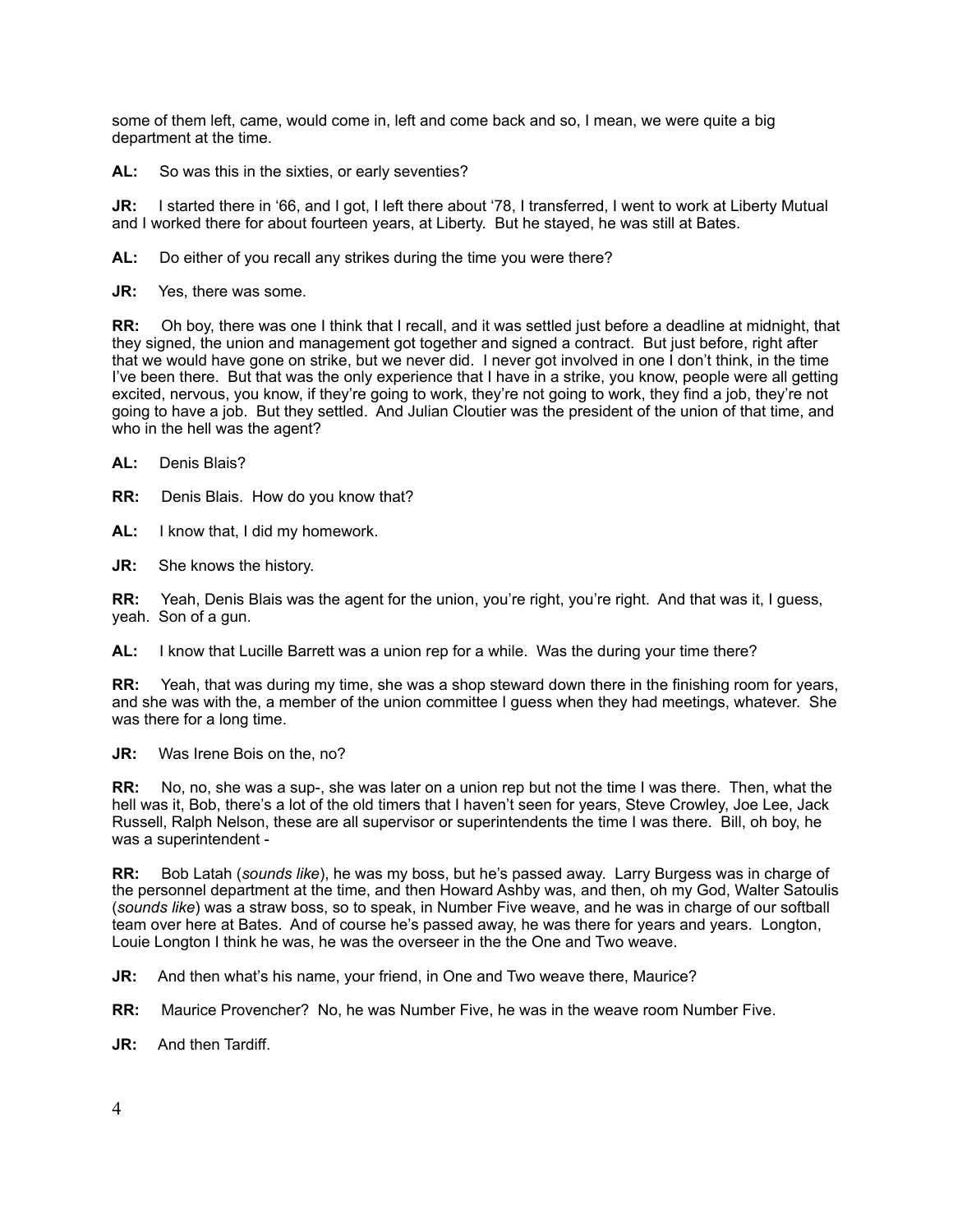some of them left, came, would come in, left and come back and so, I mean, we were quite a big department at the time.

**AL:** So was this in the sixties, or early seventies?

**JR:** I started there in '66, and I got, I left there about '78, I transferred, I went to work at Liberty Mutual and I worked there for about fourteen years, at Liberty. But he stayed, he was still at Bates.

**AL:** Do either of you recall any strikes during the time you were there?

**JR:** Yes, there was some.

**RR:** Oh boy, there was one I think that I recall, and it was settled just before a deadline at midnight, that they signed, the union and management got together and signed a contract. But just before, right after that we would have gone on strike, but we never did. I never got involved in one I don't think, in the time I've been there. But that was the only experience that I have in a strike, you know, people were all getting excited, nervous, you know, if they're going to work, they're not going to work, they find a job, they're not going to have a job. But they settled. And Julian Cloutier was the president of the union of that time, and who in the hell was the agent?

**AL:** Denis Blais?

**RR:** Denis Blais. How do you know that?

**AL:** I know that, I did my homework.

**JR:** She knows the history.

**RR:** Yeah, Denis Blais was the agent for the union, you're right, you're right. And that was it, I guess, yeah. Son of a gun.

**AL:** I know that Lucille Barrett was a union rep for a while. Was the during your time there?

**RR:** Yeah, that was during my time, she was a shop steward down there in the finishing room for years, and she was with the, a member of the union committee I guess when they had meetings, whatever. She was there for a long time.

**JR:** Was Irene Bois on the, no?

**RR:** No, no, she was a sup-, she was later on a union rep but not the time I was there. Then, what the hell was it, Bob, there's a lot of the old timers that I haven't seen for years, Steve Crowley, Joe Lee, Jack Russell, Ralph Nelson, these are all supervisor or superintendents the time I was there. Bill, oh boy, he was a superintendent -

**RR:** Bob Latah (*sounds like*), he was my boss, but he's passed away. Larry Burgess was in charge of the personnel department at the time, and then Howard Ashby was, and then, oh my God, Walter Satoulis (*sounds like*) was a straw boss, so to speak, in Number Five weave, and he was in charge of our softball team over here at Bates. And of course he's passed away, he was there for years and years. Longton, Louie Longton I think he was, he was the overseer in the the One and Two weave.

**JR:** And then what's his name, your friend, in One and Two weave there, Maurice?

**RR:** Maurice Provencher? No, he was Number Five, he was in the weave room Number Five.

**JR:** And then Tardiff.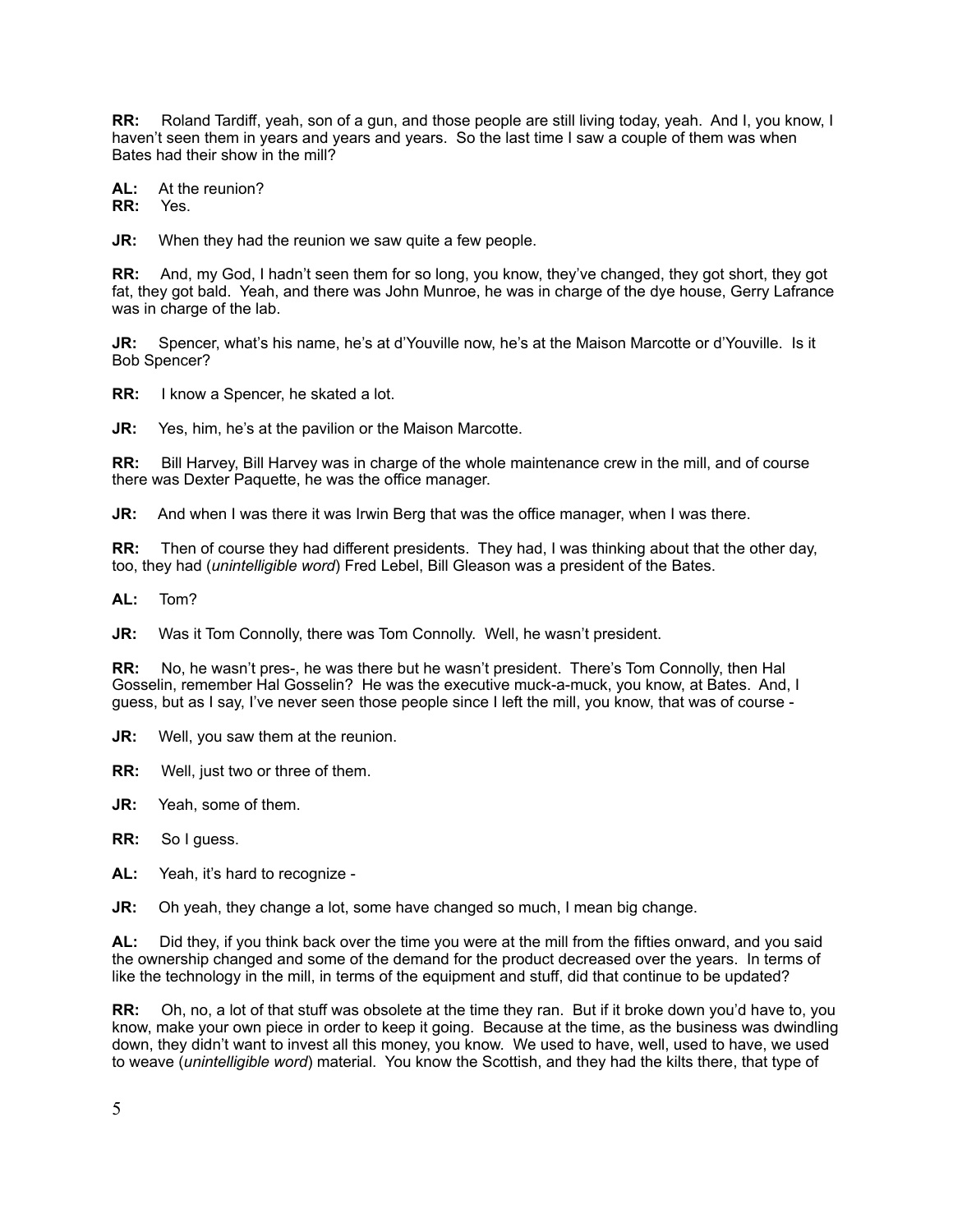**RR:** Roland Tardiff, yeah, son of a gun, and those people are still living today, yeah. And I, you know, I haven't seen them in years and years and years. So the last time I saw a couple of them was when Bates had their show in the mill?

**AL:** At the reunion?<br>**RR:** Yes

**RR:** 

**JR:** When they had the reunion we saw quite a few people.

**RR:** And, my God, I hadn't seen them for so long, you know, they've changed, they got short, they got fat, they got bald. Yeah, and there was John Munroe, he was in charge of the dye house, Gerry Lafrance was in charge of the lab.

**JR:** Spencer, what's his name, he's at d'Youville now, he's at the Maison Marcotte or d'Youville. Is it Bob Spencer?

**RR:** I know a Spencer, he skated a lot.

**JR:** Yes, him, he's at the pavilion or the Maison Marcotte.

**RR:** Bill Harvey, Bill Harvey was in charge of the whole maintenance crew in the mill, and of course there was Dexter Paquette, he was the office manager.

**JR:** And when I was there it was Irwin Berg that was the office manager, when I was there.

**RR:** Then of course they had different presidents. They had, I was thinking about that the other day, too, they had (*unintelligible word*) Fred Lebel, Bill Gleason was a president of the Bates.

**AL:** Tom?

**JR:** Was it Tom Connolly, there was Tom Connolly. Well, he wasn't president.

**RR:** No, he wasn't pres-, he was there but he wasn't president. There's Tom Connolly, then Hal Gosselin, remember Hal Gosselin? He was the executive muck-a-muck, you know, at Bates. And, I guess, but as I say, I've never seen those people since I left the mill, you know, that was of course -

**JR:** Well, you saw them at the reunion.

**RR:** Well, just two or three of them.

**JR:** Yeah, some of them.

**RR:** So I guess.

**AL:** Yeah, it's hard to recognize -

**JR:** Oh yeah, they change a lot, some have changed so much, I mean big change.

**AL:** Did they, if you think back over the time you were at the mill from the fifties onward, and you said the ownership changed and some of the demand for the product decreased over the years. In terms of like the technology in the mill, in terms of the equipment and stuff, did that continue to be updated?

**RR:** Oh, no, a lot of that stuff was obsolete at the time they ran. But if it broke down you'd have to, you know, make your own piece in order to keep it going. Because at the time, as the business was dwindling down, they didn't want to invest all this money, you know. We used to have, well, used to have, we used to weave (*unintelligible word*) material. You know the Scottish, and they had the kilts there, that type of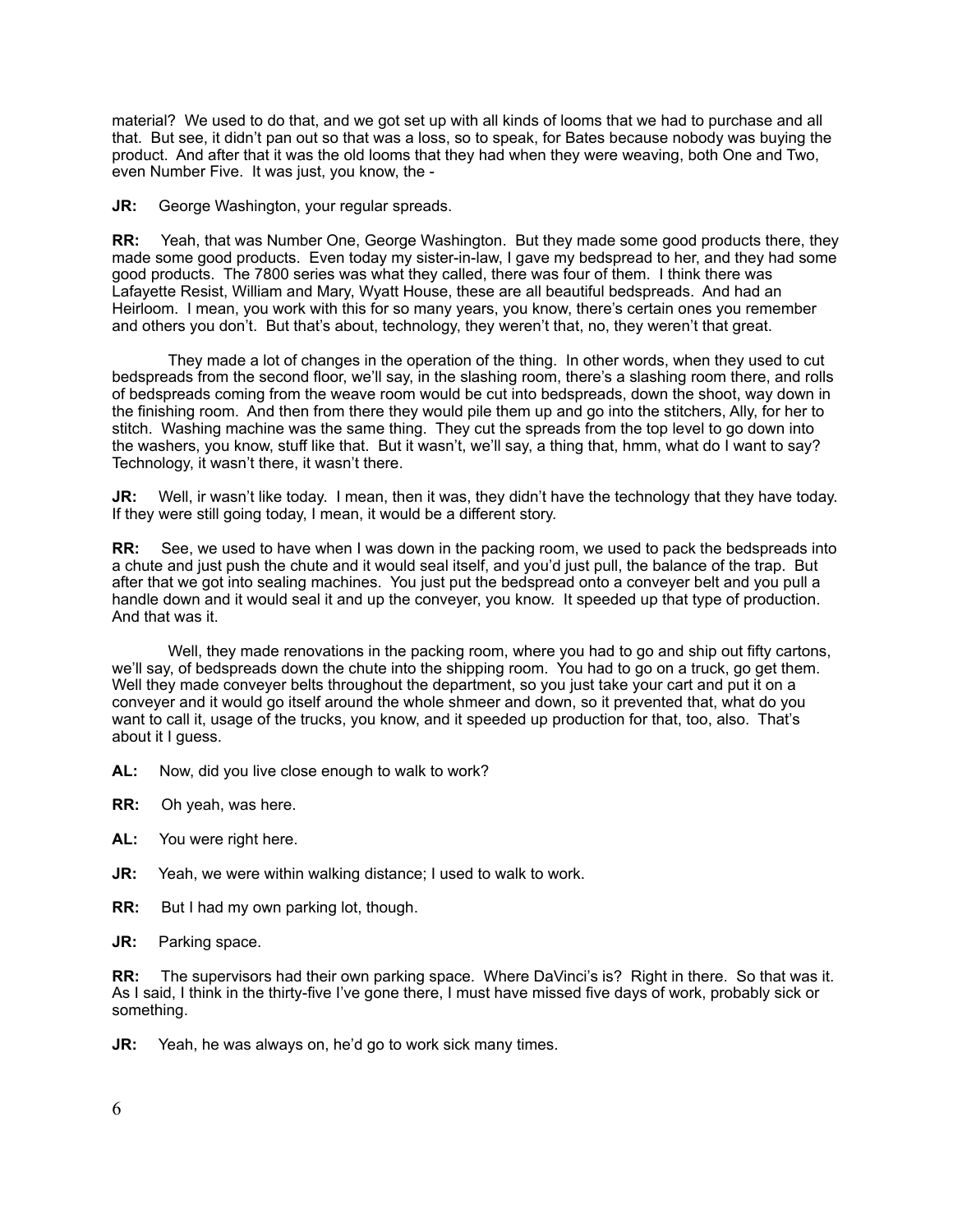material? We used to do that, and we got set up with all kinds of looms that we had to purchase and all that. But see, it didn't pan out so that was a loss, so to speak, for Bates because nobody was buying the product. And after that it was the old looms that they had when they were weaving, both One and Two, even Number Five. It was just, you know, the -

**JR:** George Washington, your regular spreads.

**RR:** Yeah, that was Number One, George Washington. But they made some good products there, they made some good products. Even today my sister-in-law, I gave my bedspread to her, and they had some good products. The 7800 series was what they called, there was four of them. I think there was Lafayette Resist, William and Mary, Wyatt House, these are all beautiful bedspreads. And had an Heirloom. I mean, you work with this for so many years, you know, there's certain ones you remember and others you don't. But that's about, technology, they weren't that, no, they weren't that great.

 They made a lot of changes in the operation of the thing. In other words, when they used to cut bedspreads from the second floor, we'll say, in the slashing room, there's a slashing room there, and rolls of bedspreads coming from the weave room would be cut into bedspreads, down the shoot, way down in the finishing room. And then from there they would pile them up and go into the stitchers, Ally, for her to stitch. Washing machine was the same thing. They cut the spreads from the top level to go down into the washers, you know, stuff like that. But it wasn't, we'll say, a thing that, hmm, what do I want to say? Technology, it wasn't there, it wasn't there.

**JR:** Well, ir wasn't like today. I mean, then it was, they didn't have the technology that they have today. If they were still going today, I mean, it would be a different story.

**RR:** See, we used to have when I was down in the packing room, we used to pack the bedspreads into a chute and just push the chute and it would seal itself, and you'd just pull, the balance of the trap. But after that we got into sealing machines. You just put the bedspread onto a conveyer belt and you pull a handle down and it would seal it and up the conveyer, you know. It speeded up that type of production. And that was it.

 Well, they made renovations in the packing room, where you had to go and ship out fifty cartons, we'll say, of bedspreads down the chute into the shipping room. You had to go on a truck, go get them. Well they made conveyer belts throughout the department, so you just take your cart and put it on a conveyer and it would go itself around the whole shmeer and down, so it prevented that, what do you want to call it, usage of the trucks, you know, and it speeded up production for that, too, also. That's about it I guess.

- **AL:** Now, did you live close enough to walk to work?
- **RR:** Oh yeah, was here.
- **AL:** You were right here.
- **JR:** Yeah, we were within walking distance; I used to walk to work.
- **RR:** But I had my own parking lot, though.
- **JR:** Parking space.

**RR:** The supervisors had their own parking space. Where DaVinci's is? Right in there. So that was it. As I said, I think in the thirty-five I've gone there, I must have missed five days of work, probably sick or something.

**JR:** Yeah, he was always on, he'd go to work sick many times.

6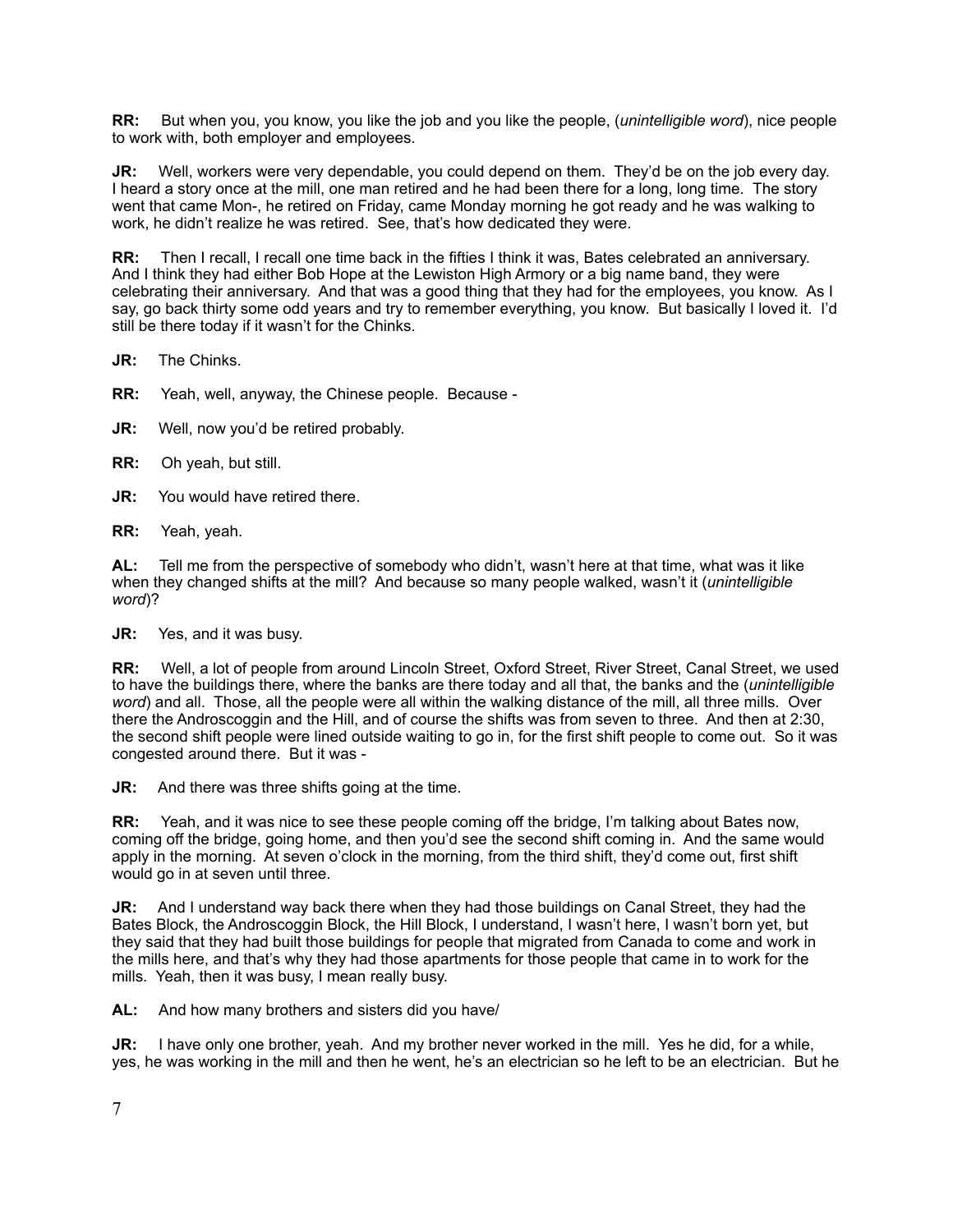**RR:** But when you, you know, you like the job and you like the people, (*unintelligible word*), nice people to work with, both employer and employees.

**JR:** Well, workers were very dependable, you could depend on them. They'd be on the job every day. I heard a story once at the mill, one man retired and he had been there for a long, long time. The story went that came Mon-, he retired on Friday, came Monday morning he got ready and he was walking to work, he didn't realize he was retired. See, that's how dedicated they were.

**RR:** Then I recall, I recall one time back in the fifties I think it was, Bates celebrated an anniversary. And I think they had either Bob Hope at the Lewiston High Armory or a big name band, they were celebrating their anniversary. And that was a good thing that they had for the employees, you know. As I say, go back thirty some odd years and try to remember everything, you know. But basically I loved it. I'd still be there today if it wasn't for the Chinks.

**JR:** The Chinks.

**RR:** Yeah, well, anyway, the Chinese people. Because -

**JR:** Well, now you'd be retired probably.

**RR:** Oh yeah, but still.

**JR:** You would have retired there.

**RR:** Yeah, yeah.

**AL:** Tell me from the perspective of somebody who didn't, wasn't here at that time, what was it like when they changed shifts at the mill? And because so many people walked, wasn't it (*unintelligible word*)?

**JR:** Yes, and it was busy.

**RR:** Well, a lot of people from around Lincoln Street, Oxford Street, River Street, Canal Street, we used to have the buildings there, where the banks are there today and all that, the banks and the (*unintelligible word*) and all. Those, all the people were all within the walking distance of the mill, all three mills. Over there the Androscoggin and the Hill, and of course the shifts was from seven to three. And then at 2:30, the second shift people were lined outside waiting to go in, for the first shift people to come out. So it was congested around there. But it was -

**JR:** And there was three shifts going at the time.

**RR:** Yeah, and it was nice to see these people coming off the bridge, I'm talking about Bates now, coming off the bridge, going home, and then you'd see the second shift coming in. And the same would apply in the morning. At seven o'clock in the morning, from the third shift, they'd come out, first shift would go in at seven until three.

**JR:** And I understand way back there when they had those buildings on Canal Street, they had the Bates Block, the Androscoggin Block, the Hill Block, I understand, I wasn't here, I wasn't born yet, but they said that they had built those buildings for people that migrated from Canada to come and work in the mills here, and that's why they had those apartments for those people that came in to work for the mills. Yeah, then it was busy, I mean really busy.

**AL:** And how many brothers and sisters did you have/

**JR:** I have only one brother, yeah. And my brother never worked in the mill. Yes he did, for a while, yes, he was working in the mill and then he went, he's an electrician so he left to be an electrician. But he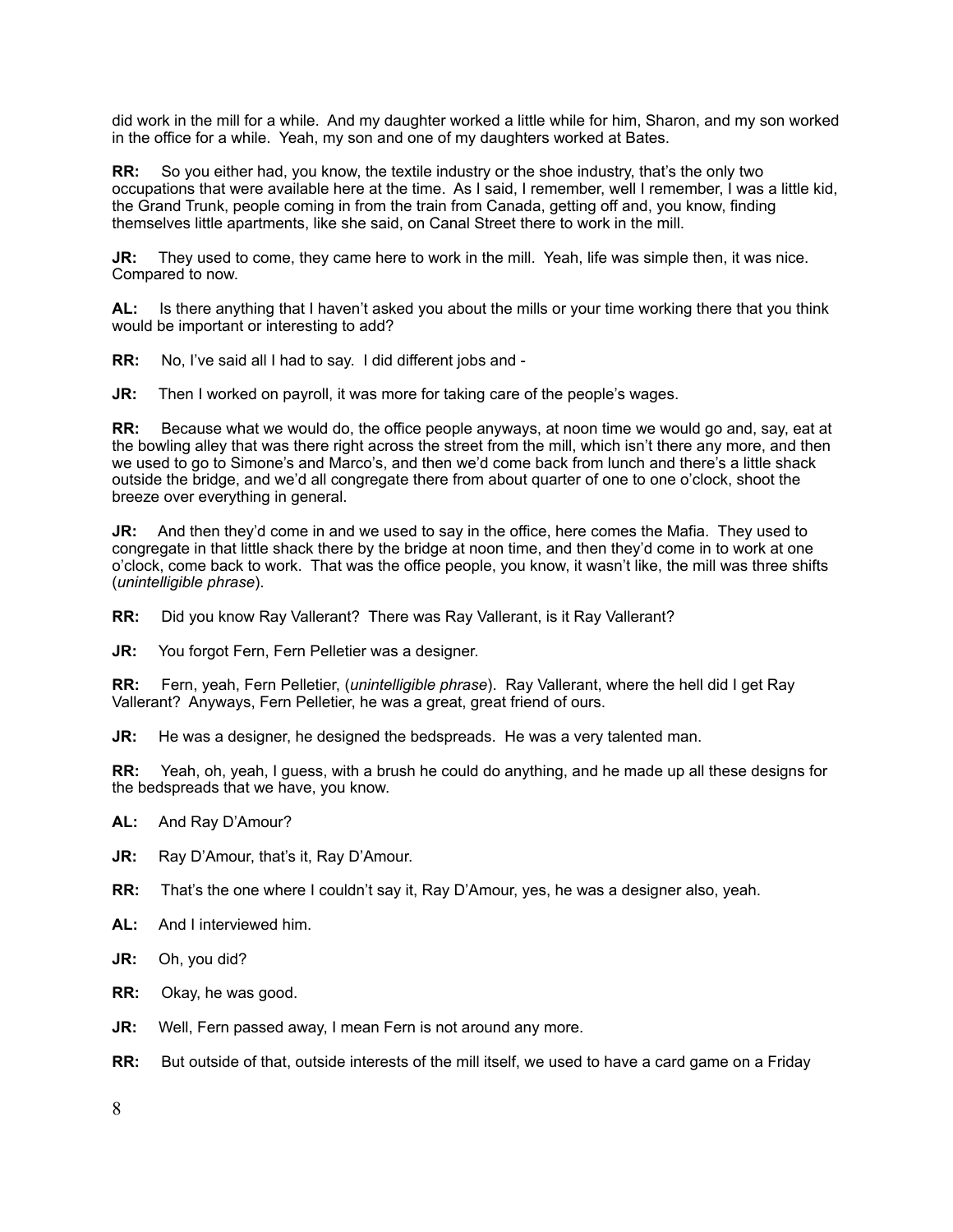did work in the mill for a while. And my daughter worked a little while for him, Sharon, and my son worked in the office for a while. Yeah, my son and one of my daughters worked at Bates.

**RR:** So you either had, you know, the textile industry or the shoe industry, that's the only two occupations that were available here at the time. As I said, I remember, well I remember, I was a little kid, the Grand Trunk, people coming in from the train from Canada, getting off and, you know, finding themselves little apartments, like she said, on Canal Street there to work in the mill.

**JR:** They used to come, they came here to work in the mill. Yeah, life was simple then, it was nice. Compared to now.

**AL:** Is there anything that I haven't asked you about the mills or your time working there that you think would be important or interesting to add?

**RR:** No, I've said all I had to say. I did different jobs and -

**JR:** Then I worked on payroll, it was more for taking care of the people's wages.

**RR:** Because what we would do, the office people anyways, at noon time we would go and, say, eat at the bowling alley that was there right across the street from the mill, which isn't there any more, and then we used to go to Simone's and Marco's, and then we'd come back from lunch and there's a little shack outside the bridge, and we'd all congregate there from about quarter of one to one o'clock, shoot the breeze over everything in general.

**JR:** And then they'd come in and we used to say in the office, here comes the Mafia. They used to congregate in that little shack there by the bridge at noon time, and then they'd come in to work at one o'clock, come back to work. That was the office people, you know, it wasn't like, the mill was three shifts (*unintelligible phrase*).

**RR:** Did you know Ray Vallerant? There was Ray Vallerant, is it Ray Vallerant?

**JR:** You forgot Fern, Fern Pelletier was a designer.

**RR:** Fern, yeah, Fern Pelletier, (*unintelligible phrase*). Ray Vallerant, where the hell did I get Ray Vallerant? Anyways, Fern Pelletier, he was a great, great friend of ours.

**JR:** He was a designer, he designed the bedspreads. He was a very talented man.

**RR:** Yeah, oh, yeah, I guess, with a brush he could do anything, and he made up all these designs for the bedspreads that we have, you know.

- **AL:** And Ray D'Amour?
- **JR:** Ray D'Amour, that's it, Ray D'Amour.
- **RR:** That's the one where I couldn't say it, Ray D'Amour, yes, he was a designer also, yeah.
- **AL:** And I interviewed him.
- **JR:** Oh, you did?
- **RR:** Okay, he was good.
- **JR:** Well, Fern passed away, I mean Fern is not around any more.
- **RR:** But outside of that, outside interests of the mill itself, we used to have a card game on a Friday